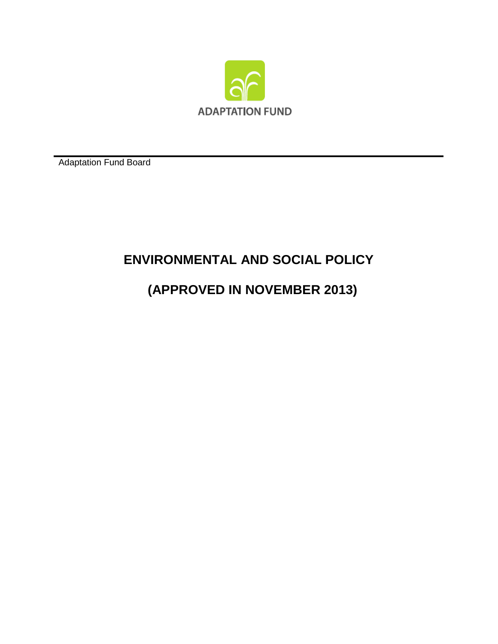

Adaptation Fund Board

# **ENVIRONMENTAL AND SOCIAL POLICY**

# **(APPROVED IN NOVEMBER 2013)**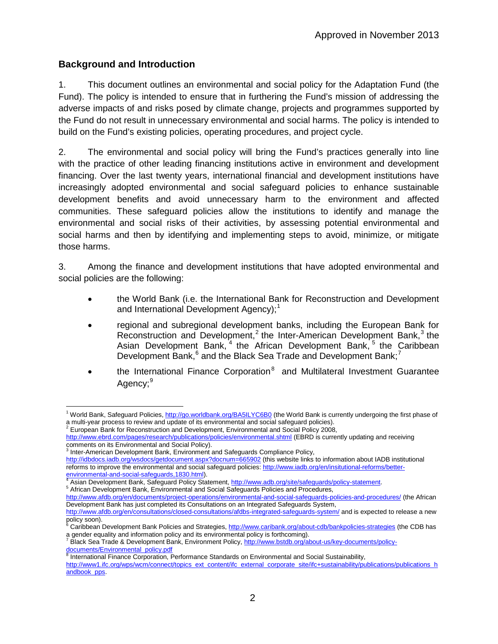# **Background and Introduction**

1. This document outlines an environmental and social policy for the Adaptation Fund (the Fund). The policy is intended to ensure that in furthering the Fund's mission of addressing the adverse impacts of and risks posed by climate change, projects and programmes supported by the Fund do not result in unnecessary environmental and social harms. The policy is intended to build on the Fund's existing policies, operating procedures, and project cycle.

2. The environmental and social policy will bring the Fund's practices generally into line with the practice of other leading financing institutions active in environment and development financing. Over the last twenty years, international financial and development institutions have increasingly adopted environmental and social safeguard policies to enhance sustainable development benefits and avoid unnecessary harm to the environment and affected communities. These safeguard policies allow the institutions to identify and manage the environmental and social risks of their activities, by assessing potential environmental and social harms and then by identifying and implementing steps to avoid, minimize, or mitigate those harms.

3. Among the finance and development institutions that have adopted environmental and social policies are the following:

- the World Bank (i.e. the International Bank for Reconstruction and Development and International Development Agency);<sup>[1](#page-1-0)</sup>
- regional and subregional development banks, including the European Bank for Reconstruction and Development,<sup>[2](#page-1-1)</sup> the Inter-American Development Bank,<sup>[3](#page-1-2)</sup> the Asian Development Bank,<sup>[4](#page-1-3)</sup> the African Development Bank,<sup>[5](#page-1-4)</sup> the Caribbean Development Bank,<sup>[6](#page-1-5)</sup> and the Black Sea Trade and Development Bank;<sup>[7](#page-1-6)</sup>
- the International Finance Corporation $<sup>8</sup>$  $<sup>8</sup>$  $<sup>8</sup>$  and Multilateral Investment Guarantee</sup> Agency;<sup>[9](#page-1-8)</sup>

<span id="page-1-2"></span> $3$  Inter-American Development Bank, Environment and Safeguards Compliance Policy, <http://idbdocs.iadb.org/wsdocs/getdocument.aspx?docnum=665902> (this website links to information about IADB institutional reforms to improve the environmental and social safeguard policies: http://www.iadb.org/en/insitutional-reforms/better-<br>environmental-and-social-safeguards, 1830.html).

<span id="page-1-0"></span><sup>&</sup>lt;sup>1</sup> World Bank, Safeguard Policies[, http://go.worldbank.org/BA5ILYC6B0](http://go.worldbank.org/BA5ILYC6B0) (the World Bank is currently undergoing the first phase of a multi-year process to review and update of its environmental and social safeguard policies).<br><sup>2</sup> European Bank for Reconstruction and Development, Environmental and Social Policy 2008,

<span id="page-1-8"></span><span id="page-1-1"></span><http://www.ebrd.com/pages/research/publications/policies/environmental.shtml> (EBRD is currently updating and receiving comments on its Environmental and Social Policy).

<span id="page-1-3"></span><sup>&</sup>lt;sup>[4](http://www.iadb.org/en/insitutional-reforms/better-environmental-and-social-safeguards,1830.html)</sup> Asian Development Bank, Safeguard Policy Statement, <u>http://www.adb.org/site/safeguards/policy-statement</u>.<br><sup>5</sup> African Development Bank, Environmental and Social Safeguards Policies and Procedures,

<span id="page-1-4"></span><http://www.afdb.org/en/documents/project-operations/environmental-and-social-safeguards-policies-and-procedures/> (the African Development Bank has just completed its Consultations on an Integrated Safeguards System,

<http://www.afdb.org/en/consultations/closed-consultations/afdbs-integrated-safeguards-system/> and is expected to release a new policy soon).

<span id="page-1-5"></span>Caribbean Development Bank Policies and Strategies,<http://www.caribank.org/about-cdb/bankpolicies-strategies> (the CDB has

<span id="page-1-6"></span>a gender equality and information policy and its environmental policy is forthcoming).<br><sup>7</sup> Black Sea Trade & Development Bank, Environment Policy, <u>http://www.bstdb.org/about-us/key-documents/policy-</u> [documents/Environmental\\_policy.pdf](http://www.bstdb.org/about-us/key-documents/policy-documents/Environmental_policy.pdf)

<span id="page-1-7"></span> $8$  International Finance Corporation, Performance Standards on Environmental and Social Sustainability, [http://www1.ifc.org/wps/wcm/connect/topics\\_ext\\_content/ifc\\_external\\_corporate\\_site/ifc+sustainability/publications/publications\\_h](http://www1.ifc.org/wps/wcm/connect/topics_ext_content/ifc_external_corporate_site/ifc+sustainability/publications/publications_handbook_pps) [andbook\\_pps.](http://www1.ifc.org/wps/wcm/connect/topics_ext_content/ifc_external_corporate_site/ifc+sustainability/publications/publications_handbook_pps)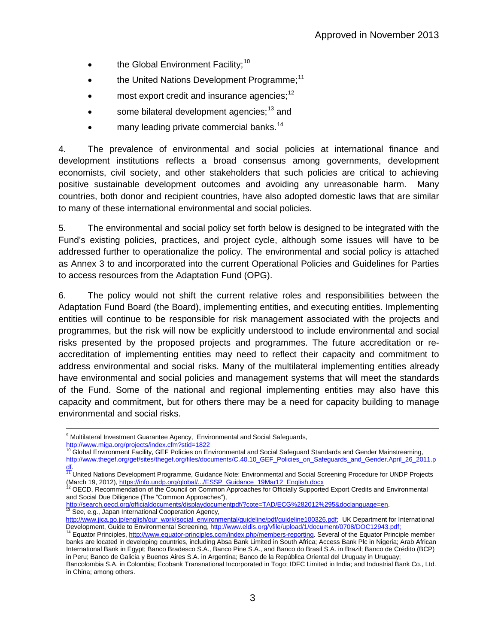- the Global Environment Facility;<sup>[10](#page-2-0)</sup>
- the United Nations Development Programme;<sup>[11](#page-2-1)</sup>
- most export credit and insurance agencies; $^{12}$  $^{12}$  $^{12}$
- some bilateral development agencies;<sup>[13](#page-2-3)</sup> and
- many leading private commercial banks.<sup>[14](#page-2-4)</sup>

4. The prevalence of environmental and social policies at international finance and development institutions reflects a broad consensus among governments, development economists, civil society, and other stakeholders that such policies are critical to achieving positive sustainable development outcomes and avoiding any unreasonable harm. Many countries, both donor and recipient countries, have also adopted domestic laws that are similar to many of these international environmental and social policies.

5. The environmental and social policy set forth below is designed to be integrated with the Fund's existing policies, practices, and project cycle, although some issues will have to be addressed further to operationalize the policy. The environmental and social policy is attached as Annex 3 to and incorporated into the current Operational Policies and Guidelines for Parties to access resources from the Adaptation Fund (OPG).

6. The policy would not shift the current relative roles and responsibilities between the Adaptation Fund Board (the Board), implementing entities, and executing entities. Implementing entities will continue to be responsible for risk management associated with the projects and programmes, but the risk will now be explicitly understood to include environmental and social risks presented by the proposed projects and programmes. The future accreditation or reaccreditation of implementing entities may need to reflect their capacity and commitment to address environmental and social risks. Many of the multilateral implementing entities already have environmental and social policies and management systems that will meet the standards of the Fund. Some of the national and regional implementing entities may also have this capacity and commitment, but for others there may be a need for capacity building to manage environmental and social risks.

<sup>&</sup>lt;sup>9</sup> Multilateral Investment Guarantee Agency, Environmental and Social Safeguards,

<http://www.miga.org/projects/index.cfm?stid=1822>

<span id="page-2-0"></span><sup>10</sup> Global Environment Facility, GEF Policies on Environmental and Social Safeguard Standards and Gender Mainstreaming, http://www.thegef.org/gef/sites/thegef.org/files/documents/C.40.10 GEF Policies on Safeguards and Gender.April 26 2011.p

<span id="page-2-1"></span>[df.](http://www.thegef.org/gef/sites/thegef.org/files/documents/C.40.10_GEF_Policies_on_Safeguards_and_Gender.April_26_2011.pdf)<br><sup>[11](http://www.thegef.org/gef/sites/thegef.org/files/documents/C.40.10_GEF_Policies_on_Safeguards_and_Gender.April_26_2011.pdf)</sup> United Nations Development Programme, Guidance Note: Environmental and Social Screening Procedure for UNDP Projects<br>(March 19, 2012), <u>https://info.undp.org/global/.../ESSP\_Guidance\_19Mar12\_English.docx</u>

<span id="page-2-2"></span>OECD, Recommendation of the Council on Common Approaches for Officially Supported Export Credits and Environmental and Social Due Diligence (The "Common Approaches"),

[http://search.oecd.org/officialdocuments/displaydocumentpdf/?cote=TAD/ECG%282012%295&doclanguage=en.](http://search.oecd.org/officialdocuments/displaydocumentpdf/?cote=TAD/ECG%282012%295&doclanguage=en)<br><sup>[13](http://search.oecd.org/officialdocuments/displaydocumentpdf/?cote=TAD/ECG%282012%295&doclanguage=en)</sup> See, e.g., Japan International Cooperation Agency,

<span id="page-2-3"></span>[http://www.jica.go.jp/english/our\\_work/social\\_environmental/guideline/pdf/guideline100326.pdf;](http://www.jica.go.jp/english/our_work/social_environmental/guideline/pdf/guideline100326.pdf) UK Department for International<br>Development, Guide to Environmental Screening, http://www.eldis.org/vfile/upload/1/document/070

<span id="page-2-4"></span><sup>&</sup>lt;sup>14</sup> Equator Principles[, http://www.equator-principles.com/index.php/members-reporting.](http://www.equator-principles.com/index.php/members-reporting) Several of the Equator Principle member banks are located in developing countries, including Absa Bank Limited in South Africa; Access Bank Plc in Nigeria; Arab African International Bank in Egypt; Banco Bradesco S.A., Banco Pine S.A., and Banco do Brasil S.A. in Brazil; Banco de Crédito (BCP) in Peru; Banco de Galicia y Buenos Aires S.A. in Argentina; Banco de la República Oriental del Uruguay in Uruguay; Bancolombia S.A. in Colombia; Ecobank Transnational Incorporated in Togo; IDFC Limited in India; and Industrial Bank Co., Ltd.

in China; among others.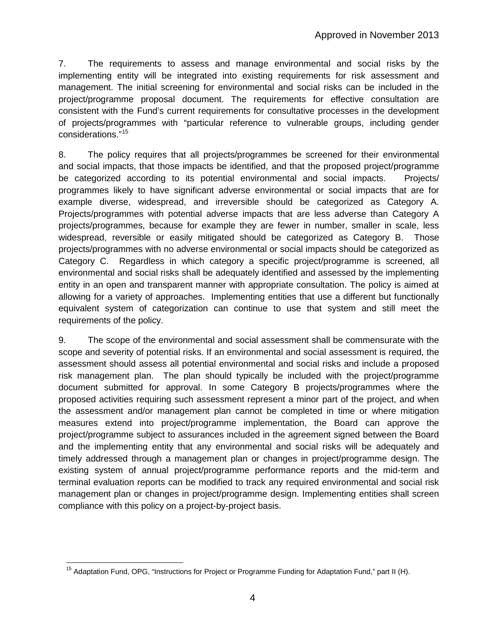7. The requirements to assess and manage environmental and social risks by the implementing entity will be integrated into existing requirements for risk assessment and management. The initial screening for environmental and social risks can be included in the project/programme proposal document. The requirements for effective consultation are consistent with the Fund's current requirements for consultative processes in the development of projects/programmes with "particular reference to vulnerable groups, including gender considerations."[15](#page-3-0)

8. The policy requires that all projects/programmes be screened for their environmental and social impacts, that those impacts be identified, and that the proposed project/programme be categorized according to its potential environmental and social impacts. Projects/ programmes likely to have significant adverse environmental or social impacts that are for example diverse, widespread, and irreversible should be categorized as Category A. Projects/programmes with potential adverse impacts that are less adverse than Category A projects/programmes, because for example they are fewer in number, smaller in scale, less widespread, reversible or easily mitigated should be categorized as Category B. Those projects/programmes with no adverse environmental or social impacts should be categorized as Category C. Regardless in which category a specific project/programme is screened, all environmental and social risks shall be adequately identified and assessed by the implementing entity in an open and transparent manner with appropriate consultation. The policy is aimed at allowing for a variety of approaches. Implementing entities that use a different but functionally equivalent system of categorization can continue to use that system and still meet the requirements of the policy.

9. The scope of the environmental and social assessment shall be commensurate with the scope and severity of potential risks. If an environmental and social assessment is required, the assessment should assess all potential environmental and social risks and include a proposed risk management plan. The plan should typically be included with the project/programme document submitted for approval. In some Category B projects/programmes where the proposed activities requiring such assessment represent a minor part of the project, and when the assessment and/or management plan cannot be completed in time or where mitigation measures extend into project/programme implementation, the Board can approve the project/programme subject to assurances included in the agreement signed between the Board and the implementing entity that any environmental and social risks will be adequately and timely addressed through a management plan or changes in project/programme design. The existing system of annual project/programme performance reports and the mid-term and terminal evaluation reports can be modified to track any required environmental and social risk management plan or changes in project/programme design. Implementing entities shall screen compliance with this policy on a project-by-project basis.

<span id="page-3-0"></span><sup>&</sup>lt;sup>15</sup> Adaptation Fund, OPG, "Instructions for Project or Programme Funding for Adaptation Fund," part II (H).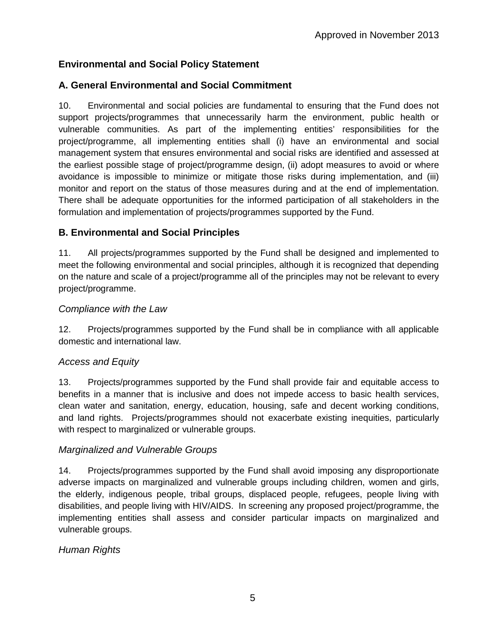# **Environmental and Social Policy Statement**

# **A. General Environmental and Social Commitment**

10. Environmental and social policies are fundamental to ensuring that the Fund does not support projects/programmes that unnecessarily harm the environment, public health or vulnerable communities. As part of the implementing entities' responsibilities for the project/programme, all implementing entities shall (i) have an environmental and social management system that ensures environmental and social risks are identified and assessed at the earliest possible stage of project/programme design, (ii) adopt measures to avoid or where avoidance is impossible to minimize or mitigate those risks during implementation, and (iii) monitor and report on the status of those measures during and at the end of implementation. There shall be adequate opportunities for the informed participation of all stakeholders in the formulation and implementation of projects/programmes supported by the Fund.

## **B. Environmental and Social Principles**

11. All projects/programmes supported by the Fund shall be designed and implemented to meet the following environmental and social principles, although it is recognized that depending on the nature and scale of a project/programme all of the principles may not be relevant to every project/programme.

#### *Compliance with the Law*

12. Projects/programmes supported by the Fund shall be in compliance with all applicable domestic and international law.

## *Access and Equity*

13. Projects/programmes supported by the Fund shall provide fair and equitable access to benefits in a manner that is inclusive and does not impede access to basic health services, clean water and sanitation, energy, education, housing, safe and decent working conditions, and land rights. Projects/programmes should not exacerbate existing inequities, particularly with respect to marginalized or vulnerable groups.

#### *Marginalized and Vulnerable Groups*

14. Projects/programmes supported by the Fund shall avoid imposing any disproportionate adverse impacts on marginalized and vulnerable groups including children, women and girls, the elderly, indigenous people, tribal groups, displaced people, refugees, people living with disabilities, and people living with HIV/AIDS. In screening any proposed project/programme, the implementing entities shall assess and consider particular impacts on marginalized and vulnerable groups.

## *Human Rights*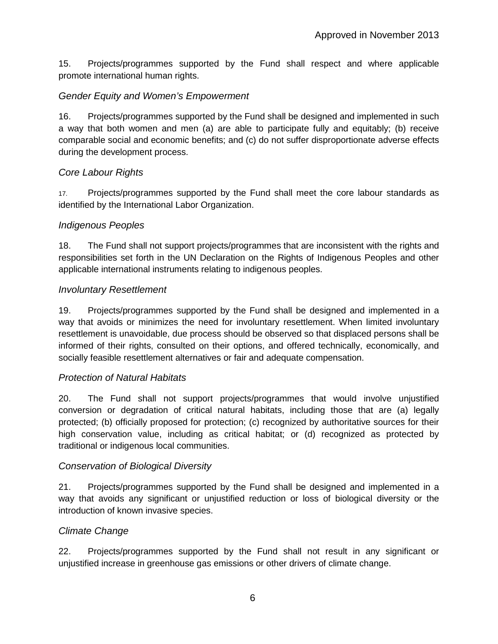15. Projects/programmes supported by the Fund shall respect and where applicable promote international human rights.

# *Gender Equity and Women's Empowerment*

16. Projects/programmes supported by the Fund shall be designed and implemented in such a way that both women and men (a) are able to participate fully and equitably; (b) receive comparable social and economic benefits; and (c) do not suffer disproportionate adverse effects during the development process.

## *Core Labour Rights*

17. Projects/programmes supported by the Fund shall meet the core labour standards as identified by the International Labor Organization.

## *Indigenous Peoples*

18. The Fund shall not support projects/programmes that are inconsistent with the rights and responsibilities set forth in the UN Declaration on the Rights of Indigenous Peoples and other applicable international instruments relating to indigenous peoples.

## *Involuntary Resettlement*

19. Projects/programmes supported by the Fund shall be designed and implemented in a way that avoids or minimizes the need for involuntary resettlement. When limited involuntary resettlement is unavoidable, due process should be observed so that displaced persons shall be informed of their rights, consulted on their options, and offered technically, economically, and socially feasible resettlement alternatives or fair and adequate compensation.

## *Protection of Natural Habitats*

20. The Fund shall not support projects/programmes that would involve unjustified conversion or degradation of critical natural habitats, including those that are (a) legally protected; (b) officially proposed for protection; (c) recognized by authoritative sources for their high conservation value, including as critical habitat; or (d) recognized as protected by traditional or indigenous local communities.

## *Conservation of Biological Diversity*

21. Projects/programmes supported by the Fund shall be designed and implemented in a way that avoids any significant or unjustified reduction or loss of biological diversity or the introduction of known invasive species.

## *Climate Change*

22. Projects/programmes supported by the Fund shall not result in any significant or unjustified increase in greenhouse gas emissions or other drivers of climate change.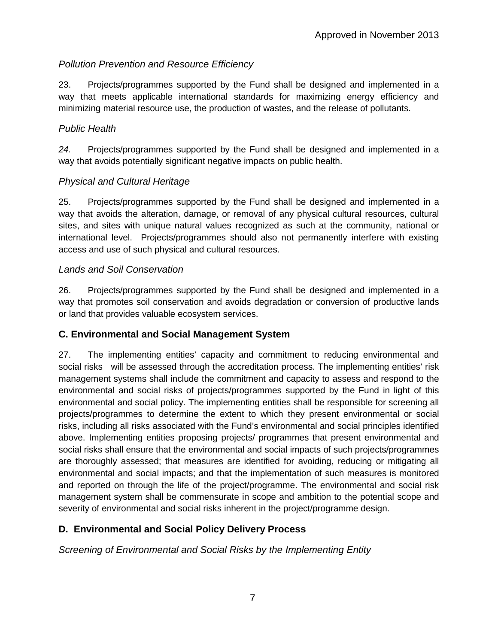## *Pollution Prevention and Resource Efficiency*

23. Projects/programmes supported by the Fund shall be designed and implemented in a way that meets applicable international standards for maximizing energy efficiency and minimizing material resource use, the production of wastes, and the release of pollutants.

#### *Public Health*

*24.* Projects/programmes supported by the Fund shall be designed and implemented in a way that avoids potentially significant negative impacts on public health.

#### *Physical and Cultural Heritage*

25. Projects/programmes supported by the Fund shall be designed and implemented in a way that avoids the alteration, damage, or removal of any physical cultural resources, cultural sites, and sites with unique natural values recognized as such at the community, national or international level. Projects/programmes should also not permanently interfere with existing access and use of such physical and cultural resources.

#### *Lands and Soil Conservation*

26. Projects/programmes supported by the Fund shall be designed and implemented in a way that promotes soil conservation and avoids degradation or conversion of productive lands or land that provides valuable ecosystem services.

## **C. Environmental and Social Management System**

27. The implementing entities' capacity and commitment to reducing environmental and social risks will be assessed through the accreditation process. The implementing entities' risk management systems shall include the commitment and capacity to assess and respond to the environmental and social risks of projects/programmes supported by the Fund in light of this environmental and social policy. The implementing entities shall be responsible for screening all projects/programmes to determine the extent to which they present environmental or social risks, including all risks associated with the Fund's environmental and social principles identified above. Implementing entities proposing projects/ programmes that present environmental and social risks shall ensure that the environmental and social impacts of such projects/programmes are thoroughly assessed; that measures are identified for avoiding, reducing or mitigating all environmental and social impacts; and that the implementation of such measures is monitored and reported on through the life of the project/programme. The environmental and social risk management system shall be commensurate in scope and ambition to the potential scope and severity of environmental and social risks inherent in the project/programme design.

## **D. Environmental and Social Policy Delivery Process**

*Screening of Environmental and Social Risks by the Implementing Entity*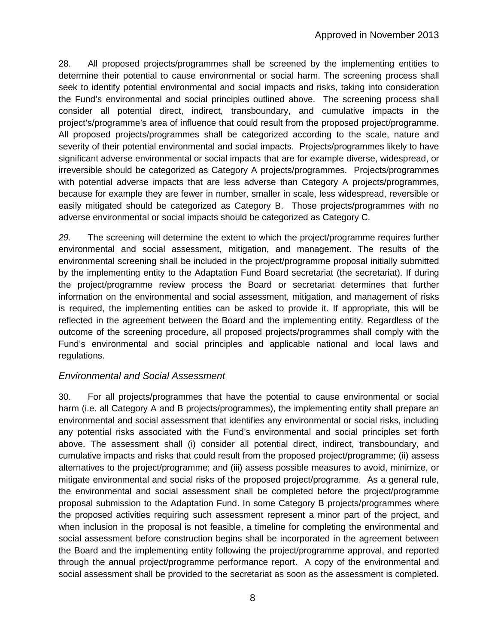28. All proposed projects/programmes shall be screened by the implementing entities to determine their potential to cause environmental or social harm. The screening process shall seek to identify potential environmental and social impacts and risks, taking into consideration the Fund's environmental and social principles outlined above. The screening process shall consider all potential direct, indirect, transboundary, and cumulative impacts in the project's/programme's area of influence that could result from the proposed project/programme. All proposed projects/programmes shall be categorized according to the scale, nature and severity of their potential environmental and social impacts. Projects/programmes likely to have significant adverse environmental or social impacts that are for example diverse, widespread, or irreversible should be categorized as Category A projects/programmes. Projects/programmes with potential adverse impacts that are less adverse than Category A projects/programmes, because for example they are fewer in number, smaller in scale, less widespread, reversible or easily mitigated should be categorized as Category B. Those projects/programmes with no adverse environmental or social impacts should be categorized as Category C.

*29.* The screening will determine the extent to which the project/programme requires further environmental and social assessment, mitigation, and management. The results of the environmental screening shall be included in the project/programme proposal initially submitted by the implementing entity to the Adaptation Fund Board secretariat (the secretariat). If during the project/programme review process the Board or secretariat determines that further information on the environmental and social assessment, mitigation, and management of risks is required, the implementing entities can be asked to provide it. If appropriate, this will be reflected in the agreement between the Board and the implementing entity. Regardless of the outcome of the screening procedure, all proposed projects/programmes shall comply with the Fund's environmental and social principles and applicable national and local laws and regulations.

## *Environmental and Social Assessment*

30. For all projects/programmes that have the potential to cause environmental or social harm (i.e. all Category A and B projects/programmes), the implementing entity shall prepare an environmental and social assessment that identifies any environmental or social risks, including any potential risks associated with the Fund's environmental and social principles set forth above. The assessment shall (i) consider all potential direct, indirect, transboundary, and cumulative impacts and risks that could result from the proposed project/programme; (ii) assess alternatives to the project/programme; and (iii) assess possible measures to avoid, minimize, or mitigate environmental and social risks of the proposed project/programme. As a general rule, the environmental and social assessment shall be completed before the project/programme proposal submission to the Adaptation Fund. In some Category B projects/programmes where the proposed activities requiring such assessment represent a minor part of the project, and when inclusion in the proposal is not feasible, a timeline for completing the environmental and social assessment before construction begins shall be incorporated in the agreement between the Board and the implementing entity following the project/programme approval, and reported through the annual project/programme performance report. A copy of the environmental and social assessment shall be provided to the secretariat as soon as the assessment is completed.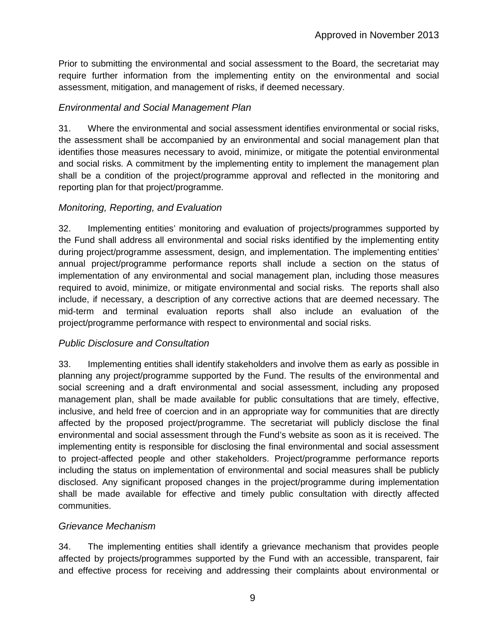Prior to submitting the environmental and social assessment to the Board, the secretariat may require further information from the implementing entity on the environmental and social assessment, mitigation, and management of risks, if deemed necessary.

#### *Environmental and Social Management Plan*

31. Where the environmental and social assessment identifies environmental or social risks, the assessment shall be accompanied by an environmental and social management plan that identifies those measures necessary to avoid, minimize, or mitigate the potential environmental and social risks. A commitment by the implementing entity to implement the management plan shall be a condition of the project/programme approval and reflected in the monitoring and reporting plan for that project/programme.

#### *Monitoring, Reporting, and Evaluation*

32. Implementing entities' monitoring and evaluation of projects/programmes supported by the Fund shall address all environmental and social risks identified by the implementing entity during project/programme assessment, design, and implementation. The implementing entities' annual project/programme performance reports shall include a section on the status of implementation of any environmental and social management plan, including those measures required to avoid, minimize, or mitigate environmental and social risks. The reports shall also include, if necessary, a description of any corrective actions that are deemed necessary. The mid-term and terminal evaluation reports shall also include an evaluation of the project/programme performance with respect to environmental and social risks.

#### *Public Disclosure and Consultation*

33. Implementing entities shall identify stakeholders and involve them as early as possible in planning any project/programme supported by the Fund. The results of the environmental and social screening and a draft environmental and social assessment, including any proposed management plan, shall be made available for public consultations that are timely, effective, inclusive, and held free of coercion and in an appropriate way for communities that are directly affected by the proposed project/programme. The secretariat will publicly disclose the final environmental and social assessment through the Fund's website as soon as it is received. The implementing entity is responsible for disclosing the final environmental and social assessment to project-affected people and other stakeholders. Project/programme performance reports including the status on implementation of environmental and social measures shall be publicly disclosed. Any significant proposed changes in the project/programme during implementation shall be made available for effective and timely public consultation with directly affected communities.

#### *Grievance Mechanism*

34. The implementing entities shall identify a grievance mechanism that provides people affected by projects/programmes supported by the Fund with an accessible, transparent, fair and effective process for receiving and addressing their complaints about environmental or